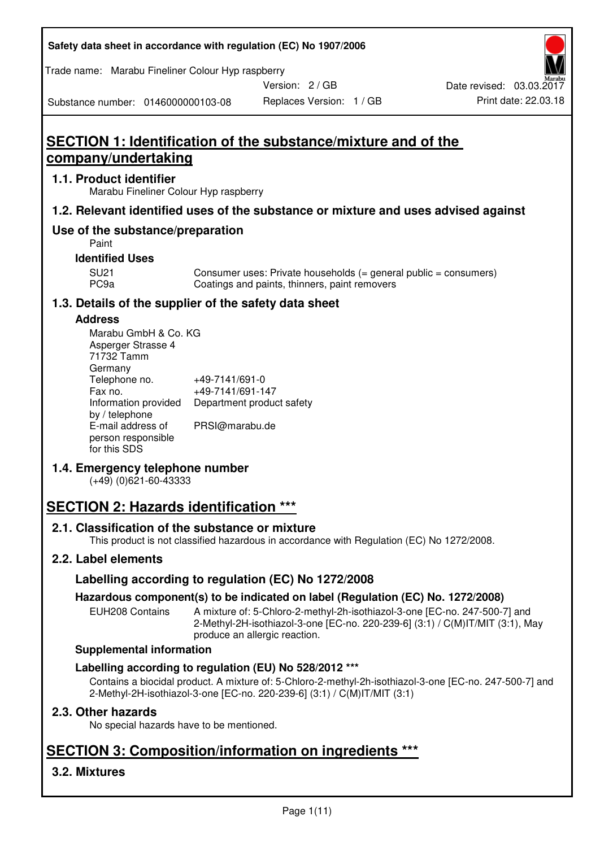**Safety data sheet in accordance with regulation (EC) No 1907/2006** 

Trade name: Marabu Fineliner Colour Hyp raspberry

Version: 2 / GB

Substance number: 0146000000103-08

# **SECTION 1: Identification of the substance/mixture and of the company/undertaking**

## **1.1. Product identifier**

Marabu Fineliner Colour Hyp raspberry

## **1.2. Relevant identified uses of the substance or mixture and uses advised against**

# **Use of the substance/preparation**

Paint

## **Identified Uses**

SU21 Consumer uses: Private households (= general public = consumers)<br>PC9a Coatings and paints, thinners, paint removers Coatings and paints, thinners, paint removers

# **1.3. Details of the supplier of the safety data sheet**

#### **Address**

| Marabu GmbH & Co. KG |                           |
|----------------------|---------------------------|
| Asperger Strasse 4   |                           |
| 71732 Tamm           |                           |
| Germany              |                           |
| Telephone no.        | +49-7141/691-0            |
| Fax no.              | +49-7141/691-147          |
| Information provided | Department product safety |
| by / telephone       |                           |
| E-mail address of    | PRSI@marabu.de            |
| person responsible   |                           |
| for this SDS         |                           |

# **1.4. Emergency telephone number**

(+49) (0)621-60-43333

# **SECTION 2: Hazards identification \*\*\***

# **2.1. Classification of the substance or mixture**

This product is not classified hazardous in accordance with Regulation (EC) No 1272/2008.

# **2.2. Label elements**

# **Labelling according to regulation (EC) No 1272/2008**

# **Hazardous component(s) to be indicated on label (Regulation (EC) No. 1272/2008)**

EUH208 Contains A mixture of: 5-Chloro-2-methyl-2h-isothiazol-3-one [EC-no. 247-500-7] and 2-Methyl-2H-isothiazol-3-one [EC-no. 220-239-6] (3:1) / C(M)IT/MIT (3:1), May produce an allergic reaction.

#### **Supplemental information**

# **Labelling according to regulation (EU) No 528/2012 \*\*\***

Contains a biocidal product. A mixture of: 5-Chloro-2-methyl-2h-isothiazol-3-one [EC-no. 247-500-7] and 2-Methyl-2H-isothiazol-3-one [EC-no. 220-239-6] (3:1) / C(M)IT/MIT (3:1)

# **2.3. Other hazards**

No special hazards have to be mentioned.

# **SECTION 3: Composition/information on ingredients \*\*\***

# **3.2. Mixtures**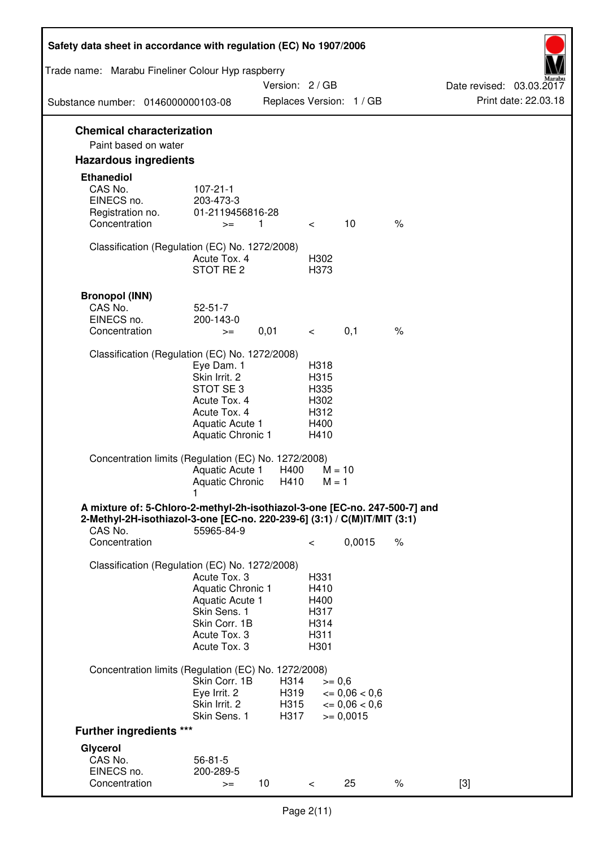| Safety data sheet in accordance with regulation (EC) No 1907/2006                                                                                                 |                                                                                                                       |                      |                                                      |                                              |      |                          |
|-------------------------------------------------------------------------------------------------------------------------------------------------------------------|-----------------------------------------------------------------------------------------------------------------------|----------------------|------------------------------------------------------|----------------------------------------------|------|--------------------------|
| Trade name: Marabu Fineliner Colour Hyp raspberry                                                                                                                 |                                                                                                                       | Version: 2 / GB      |                                                      |                                              |      | Date revised: 03.03.2017 |
| Substance number: 0146000000103-08                                                                                                                                |                                                                                                                       |                      |                                                      | Replaces Version: 1 / GB                     |      | Print date: 22.03.18     |
| <b>Chemical characterization</b><br>Paint based on water                                                                                                          |                                                                                                                       |                      |                                                      |                                              |      |                          |
| <b>Hazardous ingredients</b>                                                                                                                                      |                                                                                                                       |                      |                                                      |                                              |      |                          |
| <b>Ethanediol</b><br>CAS No.<br>EINECS no.<br>Registration no.<br>Concentration                                                                                   | $107 - 21 - 1$<br>203-473-3<br>01-2119456816-28<br>$>=$                                                               | $\overline{1}$       | $\lt$                                                | 10                                           | $\%$ |                          |
| Classification (Regulation (EC) No. 1272/2008)                                                                                                                    | Acute Tox, 4<br>STOT RE <sub>2</sub>                                                                                  |                      | H302<br>H373                                         |                                              |      |                          |
| <b>Bronopol (INN)</b><br>CAS No.<br>EINECS no.<br>Concentration                                                                                                   | $52 - 51 - 7$<br>200-143-0<br>$>=$                                                                                    | 0,01                 | $\lt$                                                | 0,1                                          | $\%$ |                          |
| Classification (Regulation (EC) No. 1272/2008)                                                                                                                    | Eye Dam. 1<br>Skin Irrit. 2<br>STOT SE3<br>Acute Tox. 4<br>Acute Tox. 4<br>Aquatic Acute 1<br>Aquatic Chronic 1       |                      | H318<br>H315<br>H335<br>H302<br>H312<br>H400<br>H410 |                                              |      |                          |
| Concentration limits (Regulation (EC) No. 1272/2008)                                                                                                              | Aquatic Acute 1<br>Aquatic Chronic                                                                                    | H400<br>H410         | $M = 10$<br>$M = 1$                                  |                                              |      |                          |
| A mixture of: 5-Chloro-2-methyl-2h-isothiazol-3-one [EC-no. 247-500-7] and<br>2-Methyl-2H-isothiazol-3-one [EC-no. 220-239-6] (3:1) / C(M)IT/MIT (3:1)<br>CAS No. | 55965-84-9                                                                                                            |                      |                                                      |                                              |      |                          |
| Concentration                                                                                                                                                     |                                                                                                                       |                      | $\,<\,$                                              | 0,0015                                       | $\%$ |                          |
| Classification (Regulation (EC) No. 1272/2008)                                                                                                                    | Acute Tox. 3<br>Aquatic Chronic 1<br>Aquatic Acute 1<br>Skin Sens. 1<br>Skin Corr. 1B<br>Acute Tox. 3<br>Acute Tox. 3 |                      | H331<br>H410<br>H400<br>H317<br>H314<br>H311<br>H301 |                                              |      |                          |
| Concentration limits (Regulation (EC) No. 1272/2008)                                                                                                              | Skin Corr. 1B<br>Eye Irrit. 2<br>Skin Irrit. 2                                                                        | H314<br>H319<br>H315 | $>= 0,6$                                             | $\epsilon = 0.06 < 0.6$<br>$\leq 0.06 < 0.6$ |      |                          |
| <b>Further ingredients ***</b>                                                                                                                                    | Skin Sens. 1                                                                                                          | H317                 |                                                      | $>= 0,0015$                                  |      |                          |
| Glycerol                                                                                                                                                          |                                                                                                                       |                      |                                                      |                                              |      |                          |
| CAS No.<br>EINECS no.<br>Concentration                                                                                                                            | $56 - 81 - 5$<br>200-289-5<br>$>=$                                                                                    | 10                   | $\lt$                                                | 25                                           | $\%$ | $[3]$                    |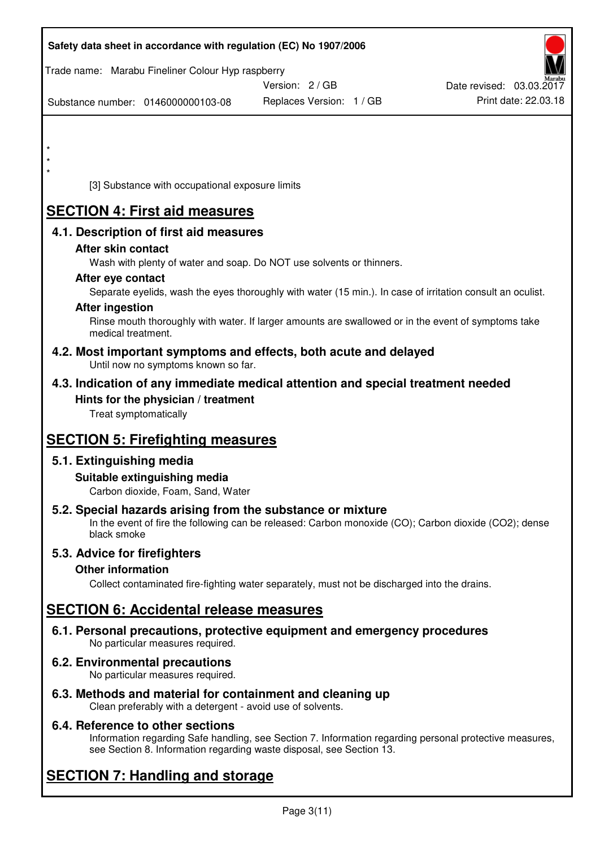|         | Safety data sheet in accordance with regulation (EC) No 1907/2006                                            |                                                                                                            |                          |
|---------|--------------------------------------------------------------------------------------------------------------|------------------------------------------------------------------------------------------------------------|--------------------------|
|         | Trade name: Marabu Fineliner Colour Hyp raspberry                                                            | Version: 2 / GB                                                                                            | Date revised: 03.03.2017 |
|         | Substance number: 0146000000103-08                                                                           | Replaces Version: 1 / GB                                                                                   | Print date: 22.03.18     |
|         |                                                                                                              |                                                                                                            |                          |
| $\star$ |                                                                                                              |                                                                                                            |                          |
|         |                                                                                                              |                                                                                                            |                          |
|         | [3] Substance with occupational exposure limits                                                              |                                                                                                            |                          |
|         | <b>SECTION 4: First aid measures</b>                                                                         |                                                                                                            |                          |
|         | 4.1. Description of first aid measures                                                                       |                                                                                                            |                          |
|         | After skin contact                                                                                           |                                                                                                            |                          |
|         | Wash with plenty of water and soap. Do NOT use solvents or thinners.<br>After eye contact                    |                                                                                                            |                          |
|         |                                                                                                              | Separate eyelids, wash the eyes thoroughly with water (15 min.). In case of irritation consult an oculist. |                          |
|         | <b>After ingestion</b>                                                                                       |                                                                                                            |                          |
|         | medical treatment.                                                                                           | Rinse mouth thoroughly with water. If larger amounts are swallowed or in the event of symptoms take        |                          |
|         | 4.2. Most important symptoms and effects, both acute and delayed<br>Until now no symptoms known so far.      |                                                                                                            |                          |
|         | 4.3. Indication of any immediate medical attention and special treatment needed                              |                                                                                                            |                          |
|         | Hints for the physician / treatment<br>Treat symptomatically                                                 |                                                                                                            |                          |
|         |                                                                                                              |                                                                                                            |                          |
|         | <b>SECTION 5: Firefighting measures</b>                                                                      |                                                                                                            |                          |
|         | 5.1. Extinguishing media                                                                                     |                                                                                                            |                          |
|         | Suitable extinguishing media<br>Carbon dioxide, Foam, Sand, Water                                            |                                                                                                            |                          |
|         | 5.2. Special hazards arising from the substance or mixture<br>black smoke                                    | In the event of fire the following can be released: Carbon monoxide (CO); Carbon dioxide (CO2); dense      |                          |
|         | 5.3. Advice for firefighters                                                                                 |                                                                                                            |                          |
|         | <b>Other information</b>                                                                                     |                                                                                                            |                          |
|         |                                                                                                              | Collect contaminated fire-fighting water separately, must not be discharged into the drains.               |                          |
|         | <b>SECTION 6: Accidental release measures</b>                                                                |                                                                                                            |                          |
|         | 6.1. Personal precautions, protective equipment and emergency procedures<br>No particular measures required. |                                                                                                            |                          |
|         | 6.2. Environmental precautions<br>No particular measures required.                                           |                                                                                                            |                          |
|         | 6.3. Methods and material for containment and cleaning up                                                    |                                                                                                            |                          |

Clean preferably with a detergent - avoid use of solvents.

# **6.4. Reference to other sections**

Information regarding Safe handling, see Section 7. Information regarding personal protective measures, see Section 8. Information regarding waste disposal, see Section 13.

# **SECTION 7: Handling and storage**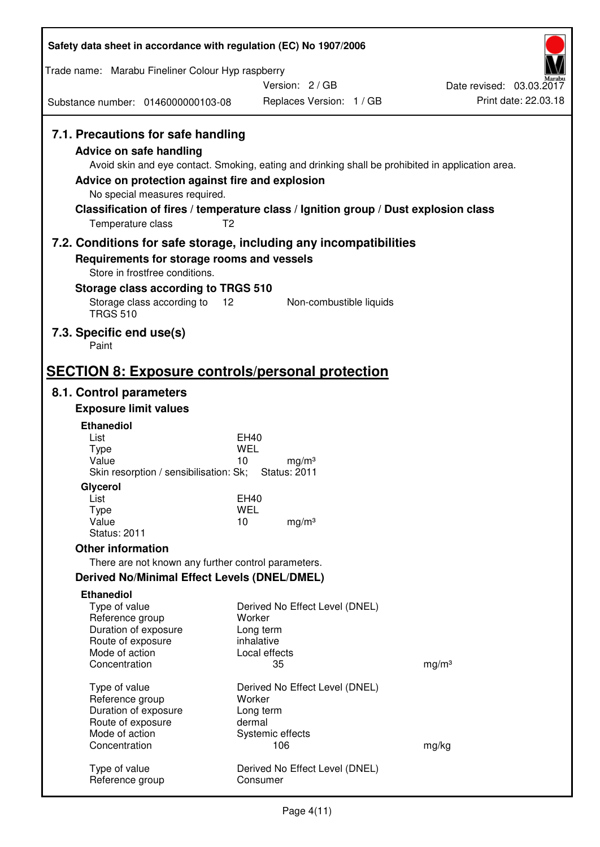| Safety data sheet in accordance with regulation (EC) No 1907/2006            |                                                                                                   |                                                  |
|------------------------------------------------------------------------------|---------------------------------------------------------------------------------------------------|--------------------------------------------------|
| Trade name: Marabu Fineliner Colour Hyp raspberry                            |                                                                                                   |                                                  |
| Substance number: 0146000000103-08                                           | Version: 2/GB<br>Replaces Version: 1 / GB                                                         | Date revised: 03.03.2017<br>Print date: 22.03.18 |
| 7.1. Precautions for safe handling                                           |                                                                                                   |                                                  |
| <b>Advice on safe handling</b>                                               |                                                                                                   |                                                  |
| Advice on protection against fire and explosion                              | Avoid skin and eye contact. Smoking, eating and drinking shall be prohibited in application area. |                                                  |
| No special measures required.                                                |                                                                                                   |                                                  |
| Temperature class<br>T <sub>2</sub>                                          | Classification of fires / temperature class / Ignition group / Dust explosion class               |                                                  |
|                                                                              | 7.2. Conditions for safe storage, including any incompatibilities                                 |                                                  |
| Requirements for storage rooms and vessels<br>Store in frostfree conditions. |                                                                                                   |                                                  |
| Storage class according to TRGS 510                                          |                                                                                                   |                                                  |
| Storage class according to<br>12<br><b>TRGS 510</b>                          | Non-combustible liquids                                                                           |                                                  |
| 7.3. Specific end use(s)<br>Paint                                            |                                                                                                   |                                                  |
| <b>SECTION 8: Exposure controls/personal protection</b>                      |                                                                                                   |                                                  |
| 8.1. Control parameters                                                      |                                                                                                   |                                                  |
| <b>Exposure limit values</b>                                                 |                                                                                                   |                                                  |
| <b>Ethanediol</b><br>List                                                    | <b>EH40</b>                                                                                       |                                                  |
| <b>Type</b>                                                                  | <b>WEL</b>                                                                                        |                                                  |
| Value<br>Skin resorption / sensibilisation: Sk;                              | 10<br>mg/m <sup>3</sup><br><b>Status: 2011</b>                                                    |                                                  |
| Glycerol                                                                     |                                                                                                   |                                                  |
| List<br><b>Type</b>                                                          | EH40<br><b>WEL</b>                                                                                |                                                  |
| Value<br><b>Status: 2011</b>                                                 | 10<br>mg/m <sup>3</sup>                                                                           |                                                  |
| <b>Other information</b>                                                     |                                                                                                   |                                                  |
| There are not known any further control parameters.                          |                                                                                                   |                                                  |
| <b>Derived No/Minimal Effect Levels (DNEL/DMEL)</b>                          |                                                                                                   |                                                  |
| <b>Ethanediol</b><br>Type of value                                           | Derived No Effect Level (DNEL)                                                                    |                                                  |
| Reference group                                                              | Worker                                                                                            |                                                  |
| Duration of exposure<br>Route of exposure                                    | Long term<br>inhalative                                                                           |                                                  |
| Mode of action                                                               | Local effects                                                                                     |                                                  |
| Concentration                                                                | 35                                                                                                | mg/m <sup>3</sup>                                |
| Type of value                                                                | Derived No Effect Level (DNEL)                                                                    |                                                  |
| Reference group                                                              | Worker                                                                                            |                                                  |
| Duration of exposure<br>Route of exposure                                    | Long term<br>dermal                                                                               |                                                  |
| Mode of action                                                               | Systemic effects                                                                                  |                                                  |
| Concentration                                                                | 106                                                                                               | mg/kg                                            |
| Type of value<br>Reference group                                             | Derived No Effect Level (DNEL)<br>Consumer                                                        |                                                  |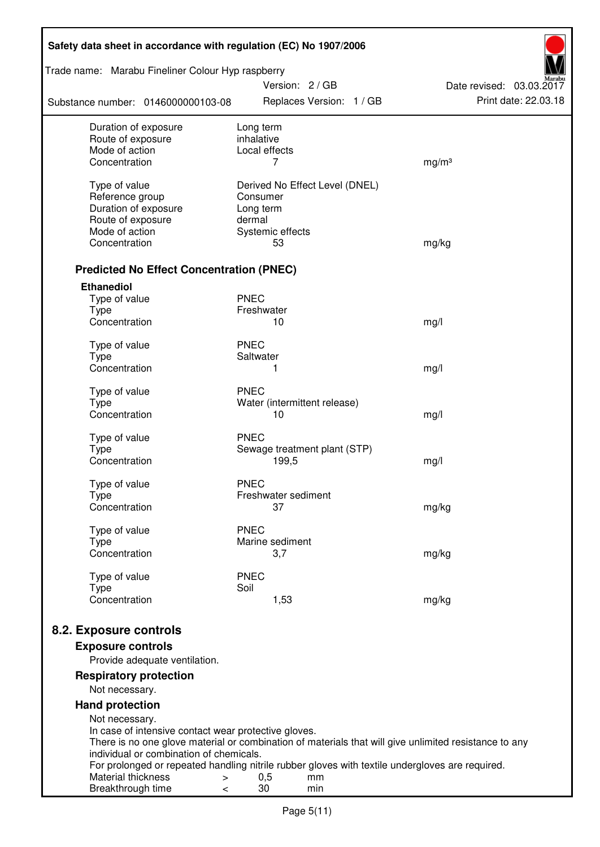| Safety data sheet in accordance with regulation (EC) No 1907/2006 |                                            |                                                                                                       |  |  |  |
|-------------------------------------------------------------------|--------------------------------------------|-------------------------------------------------------------------------------------------------------|--|--|--|
| Trade name: Marabu Fineliner Colour Hyp raspberry                 | Version: 2/GB                              | Date revised: 03.03.2017                                                                              |  |  |  |
| Substance number: 0146000000103-08                                | Replaces Version: 1 / GB                   | Print date: 22.03.18                                                                                  |  |  |  |
| Duration of exposure                                              | Long term                                  |                                                                                                       |  |  |  |
| Route of exposure<br>Mode of action                               | inhalative<br>Local effects                |                                                                                                       |  |  |  |
| Concentration                                                     | 7                                          | mg/m <sup>3</sup>                                                                                     |  |  |  |
|                                                                   |                                            |                                                                                                       |  |  |  |
| Type of value<br>Reference group                                  | Derived No Effect Level (DNEL)<br>Consumer |                                                                                                       |  |  |  |
| Duration of exposure                                              | Long term                                  |                                                                                                       |  |  |  |
| Route of exposure                                                 | dermal                                     |                                                                                                       |  |  |  |
| Mode of action                                                    | Systemic effects                           |                                                                                                       |  |  |  |
| Concentration                                                     | 53                                         | mg/kg                                                                                                 |  |  |  |
| <b>Predicted No Effect Concentration (PNEC)</b>                   |                                            |                                                                                                       |  |  |  |
| <b>Ethanediol</b>                                                 |                                            |                                                                                                       |  |  |  |
| Type of value                                                     | <b>PNEC</b>                                |                                                                                                       |  |  |  |
| <b>Type</b>                                                       | Freshwater                                 |                                                                                                       |  |  |  |
| Concentration                                                     | 10                                         | mg/l                                                                                                  |  |  |  |
| Type of value                                                     | <b>PNEC</b>                                |                                                                                                       |  |  |  |
| <b>Type</b>                                                       | Saltwater                                  |                                                                                                       |  |  |  |
| Concentration                                                     | 1                                          | mg/l                                                                                                  |  |  |  |
| Type of value                                                     | <b>PNEC</b>                                |                                                                                                       |  |  |  |
| <b>Type</b>                                                       | Water (intermittent release)               |                                                                                                       |  |  |  |
| Concentration                                                     | 10                                         | mg/l                                                                                                  |  |  |  |
| Type of value                                                     | <b>PNEC</b>                                |                                                                                                       |  |  |  |
| <b>Type</b>                                                       | Sewage treatment plant (STP)               |                                                                                                       |  |  |  |
| Concentration                                                     | 199,5                                      | mg/l                                                                                                  |  |  |  |
| Type of value                                                     | <b>PNEC</b>                                |                                                                                                       |  |  |  |
| Type                                                              | Freshwater sediment                        |                                                                                                       |  |  |  |
| Concentration                                                     | 37                                         | mg/kg                                                                                                 |  |  |  |
| Type of value                                                     | <b>PNEC</b>                                |                                                                                                       |  |  |  |
| <b>Type</b>                                                       | Marine sediment                            |                                                                                                       |  |  |  |
| Concentration                                                     | 3,7                                        | mg/kg                                                                                                 |  |  |  |
| Type of value                                                     | <b>PNEC</b>                                |                                                                                                       |  |  |  |
| <b>Type</b>                                                       | Soil                                       |                                                                                                       |  |  |  |
| Concentration                                                     | 1,53                                       | mg/kg                                                                                                 |  |  |  |
| 8.2. Exposure controls                                            |                                            |                                                                                                       |  |  |  |
| <b>Exposure controls</b>                                          |                                            |                                                                                                       |  |  |  |
| Provide adequate ventilation.                                     |                                            |                                                                                                       |  |  |  |
| <b>Respiratory protection</b>                                     |                                            |                                                                                                       |  |  |  |
| Not necessary.                                                    |                                            |                                                                                                       |  |  |  |
| <b>Hand protection</b><br>Not necessary.                          |                                            |                                                                                                       |  |  |  |
| In case of intensive contact wear protective gloves.              |                                            |                                                                                                       |  |  |  |
|                                                                   |                                            | There is no one glove material or combination of materials that will give unlimited resistance to any |  |  |  |
| individual or combination of chemicals.                           |                                            | For prolonged or repeated handling nitrile rubber gloves with textile undergloves are required.       |  |  |  |
| Material thickness<br>$\,>$                                       | 0,5<br>mm                                  |                                                                                                       |  |  |  |
| Breakthrough time<br><                                            | 30<br>min                                  |                                                                                                       |  |  |  |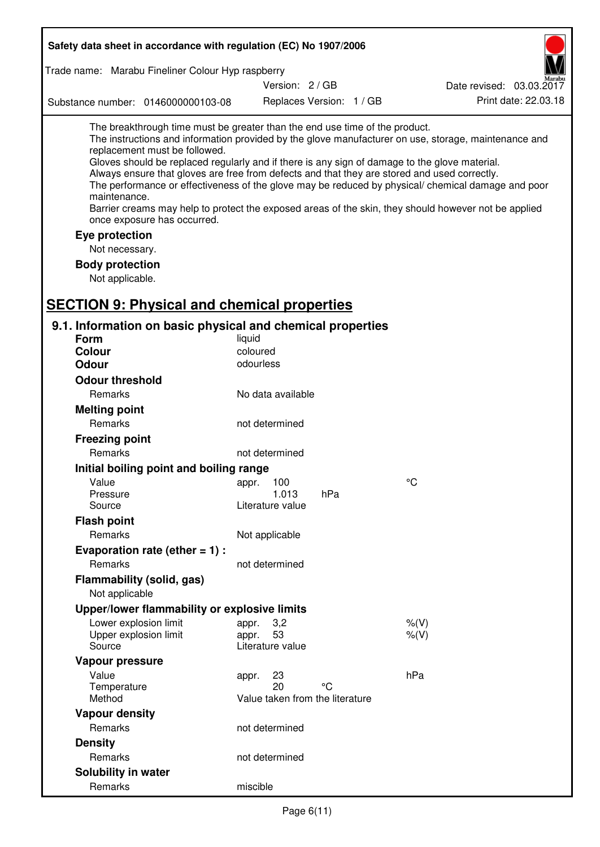| Safety data sheet in accordance with regulation (EC) No 1907/2006                                                                                                                                                                                                                                                                                                                                                                             |                                                      |                          |                                                                                                                                                                                                                                                                                                                    |
|-----------------------------------------------------------------------------------------------------------------------------------------------------------------------------------------------------------------------------------------------------------------------------------------------------------------------------------------------------------------------------------------------------------------------------------------------|------------------------------------------------------|--------------------------|--------------------------------------------------------------------------------------------------------------------------------------------------------------------------------------------------------------------------------------------------------------------------------------------------------------------|
| Trade name: Marabu Fineliner Colour Hyp raspberry                                                                                                                                                                                                                                                                                                                                                                                             |                                                      |                          |                                                                                                                                                                                                                                                                                                                    |
|                                                                                                                                                                                                                                                                                                                                                                                                                                               | Version: 2/GB                                        |                          | Date revised: 03.03.2017                                                                                                                                                                                                                                                                                           |
| Substance number: 0146000000103-08                                                                                                                                                                                                                                                                                                                                                                                                            |                                                      | Replaces Version: 1 / GB | Print date: 22.03.18                                                                                                                                                                                                                                                                                               |
| The breakthrough time must be greater than the end use time of the product.<br>replacement must be followed.<br>Gloves should be replaced regularly and if there is any sign of damage to the glove material.<br>Always ensure that gloves are free from defects and that they are stored and used correctly.<br>maintenance.<br>once exposure has occurred.<br>Eye protection<br>Not necessary.<br><b>Body protection</b><br>Not applicable. |                                                      |                          | The instructions and information provided by the glove manufacturer on use, storage, maintenance and<br>The performance or effectiveness of the glove may be reduced by physical/ chemical damage and poor<br>Barrier creams may help to protect the exposed areas of the skin, they should however not be applied |
| <b>SECTION 9: Physical and chemical properties</b><br>9.1. Information on basic physical and chemical properties                                                                                                                                                                                                                                                                                                                              |                                                      |                          |                                                                                                                                                                                                                                                                                                                    |
| <b>Form</b>                                                                                                                                                                                                                                                                                                                                                                                                                                   | liquid                                               |                          |                                                                                                                                                                                                                                                                                                                    |
| <b>Colour</b>                                                                                                                                                                                                                                                                                                                                                                                                                                 | coloured                                             |                          |                                                                                                                                                                                                                                                                                                                    |
| <b>Odour</b>                                                                                                                                                                                                                                                                                                                                                                                                                                  | odourless                                            |                          |                                                                                                                                                                                                                                                                                                                    |
| <b>Odour threshold</b>                                                                                                                                                                                                                                                                                                                                                                                                                        |                                                      |                          |                                                                                                                                                                                                                                                                                                                    |
| Remarks                                                                                                                                                                                                                                                                                                                                                                                                                                       | No data available                                    |                          |                                                                                                                                                                                                                                                                                                                    |
| <b>Melting point</b>                                                                                                                                                                                                                                                                                                                                                                                                                          |                                                      |                          |                                                                                                                                                                                                                                                                                                                    |
| Remarks                                                                                                                                                                                                                                                                                                                                                                                                                                       | not determined                                       |                          |                                                                                                                                                                                                                                                                                                                    |
| <b>Freezing point</b>                                                                                                                                                                                                                                                                                                                                                                                                                         |                                                      |                          |                                                                                                                                                                                                                                                                                                                    |
| Remarks                                                                                                                                                                                                                                                                                                                                                                                                                                       | not determined                                       |                          |                                                                                                                                                                                                                                                                                                                    |
| Initial boiling point and boiling range                                                                                                                                                                                                                                                                                                                                                                                                       |                                                      |                          |                                                                                                                                                                                                                                                                                                                    |
| Value                                                                                                                                                                                                                                                                                                                                                                                                                                         | 100<br>appr.                                         |                          | °C                                                                                                                                                                                                                                                                                                                 |
| Pressure<br>Source                                                                                                                                                                                                                                                                                                                                                                                                                            | 1.013<br>Literature value                            | hPa                      |                                                                                                                                                                                                                                                                                                                    |
| <b>Flash point</b>                                                                                                                                                                                                                                                                                                                                                                                                                            |                                                      |                          |                                                                                                                                                                                                                                                                                                                    |
| Remarks                                                                                                                                                                                                                                                                                                                                                                                                                                       | Not applicable                                       |                          |                                                                                                                                                                                                                                                                                                                    |
| Evaporation rate (ether $= 1$ ) :                                                                                                                                                                                                                                                                                                                                                                                                             |                                                      |                          |                                                                                                                                                                                                                                                                                                                    |
| <b>Remarks</b>                                                                                                                                                                                                                                                                                                                                                                                                                                | not determined                                       |                          |                                                                                                                                                                                                                                                                                                                    |
| Flammability (solid, gas)<br>Not applicable                                                                                                                                                                                                                                                                                                                                                                                                   |                                                      |                          |                                                                                                                                                                                                                                                                                                                    |
| Upper/lower flammability or explosive limits                                                                                                                                                                                                                                                                                                                                                                                                  |                                                      |                          |                                                                                                                                                                                                                                                                                                                    |
| Lower explosion limit                                                                                                                                                                                                                                                                                                                                                                                                                         | 3,2<br>appr.                                         |                          | $%$ (V)                                                                                                                                                                                                                                                                                                            |
| Upper explosion limit<br>Source                                                                                                                                                                                                                                                                                                                                                                                                               | 53<br>appr.<br>Literature value                      |                          | $%$ (V)                                                                                                                                                                                                                                                                                                            |
| Vapour pressure                                                                                                                                                                                                                                                                                                                                                                                                                               |                                                      |                          |                                                                                                                                                                                                                                                                                                                    |
| Value<br>Temperature<br>Method                                                                                                                                                                                                                                                                                                                                                                                                                | 23<br>appr.<br>20<br>Value taken from the literature | °C                       | hPa                                                                                                                                                                                                                                                                                                                |
| <b>Vapour density</b>                                                                                                                                                                                                                                                                                                                                                                                                                         |                                                      |                          |                                                                                                                                                                                                                                                                                                                    |
| Remarks                                                                                                                                                                                                                                                                                                                                                                                                                                       | not determined                                       |                          |                                                                                                                                                                                                                                                                                                                    |
| <b>Density</b>                                                                                                                                                                                                                                                                                                                                                                                                                                |                                                      |                          |                                                                                                                                                                                                                                                                                                                    |
| Remarks                                                                                                                                                                                                                                                                                                                                                                                                                                       | not determined                                       |                          |                                                                                                                                                                                                                                                                                                                    |
| Solubility in water                                                                                                                                                                                                                                                                                                                                                                                                                           |                                                      |                          |                                                                                                                                                                                                                                                                                                                    |
| Remarks                                                                                                                                                                                                                                                                                                                                                                                                                                       | miscible                                             |                          |                                                                                                                                                                                                                                                                                                                    |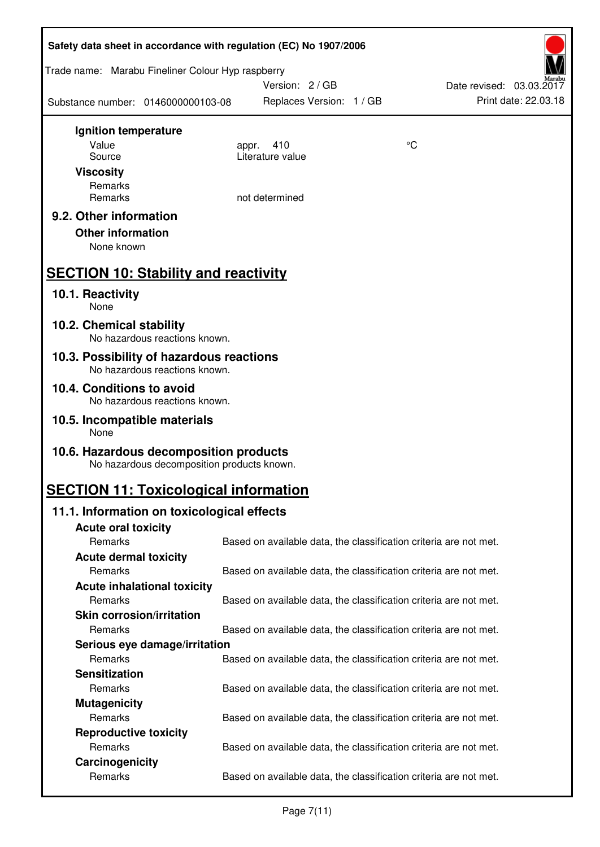| Safety data sheet in accordance with regulation (EC) No 1907/2006                    |                                                                   |                                                                   |  |
|--------------------------------------------------------------------------------------|-------------------------------------------------------------------|-------------------------------------------------------------------|--|
| Trade name: Marabu Fineliner Colour Hyp raspberry                                    | Version: 2/GB                                                     | Date revised: 03.03.2017                                          |  |
| Substance number: 0146000000103-08                                                   | Replaces Version: 1 / GB                                          | Print date: 22.03.18                                              |  |
| Ignition temperature                                                                 |                                                                   |                                                                   |  |
| Value                                                                                | 410<br>appr.                                                      | °C                                                                |  |
| Source                                                                               | Literature value                                                  |                                                                   |  |
| <b>Viscosity</b>                                                                     |                                                                   |                                                                   |  |
| Remarks<br>Remarks                                                                   | not determined                                                    |                                                                   |  |
|                                                                                      |                                                                   |                                                                   |  |
| 9.2. Other information                                                               |                                                                   |                                                                   |  |
| <b>Other information</b>                                                             |                                                                   |                                                                   |  |
| None known                                                                           |                                                                   |                                                                   |  |
| <b>SECTION 10: Stability and reactivity</b>                                          |                                                                   |                                                                   |  |
| 10.1. Reactivity<br>None                                                             |                                                                   |                                                                   |  |
| 10.2. Chemical stability<br>No hazardous reactions known.                            |                                                                   |                                                                   |  |
| 10.3. Possibility of hazardous reactions<br>No hazardous reactions known.            |                                                                   |                                                                   |  |
| 10.4. Conditions to avoid                                                            |                                                                   |                                                                   |  |
| No hazardous reactions known.                                                        |                                                                   |                                                                   |  |
| 10.5. Incompatible materials<br>None                                                 |                                                                   |                                                                   |  |
| 10.6. Hazardous decomposition products<br>No hazardous decomposition products known. |                                                                   |                                                                   |  |
| <b>SECTION 11: Toxicological information</b>                                         |                                                                   |                                                                   |  |
| 11.1. Information on toxicological effects                                           |                                                                   |                                                                   |  |
| <b>Acute oral toxicity</b>                                                           |                                                                   |                                                                   |  |
| Remarks                                                                              |                                                                   | Based on available data, the classification criteria are not met. |  |
| <b>Acute dermal toxicity</b>                                                         |                                                                   |                                                                   |  |
| Remarks                                                                              |                                                                   | Based on available data, the classification criteria are not met. |  |
| <b>Acute inhalational toxicity</b>                                                   |                                                                   |                                                                   |  |
| Remarks                                                                              |                                                                   | Based on available data, the classification criteria are not met. |  |
| <b>Skin corrosion/irritation</b>                                                     |                                                                   |                                                                   |  |
| Remarks                                                                              |                                                                   | Based on available data, the classification criteria are not met. |  |
| Serious eye damage/irritation                                                        |                                                                   |                                                                   |  |
| Remarks                                                                              |                                                                   | Based on available data, the classification criteria are not met. |  |
| <b>Sensitization</b>                                                                 |                                                                   |                                                                   |  |
| Remarks                                                                              |                                                                   | Based on available data, the classification criteria are not met. |  |
| <b>Mutagenicity</b>                                                                  |                                                                   |                                                                   |  |
| Remarks                                                                              |                                                                   | Based on available data, the classification criteria are not met. |  |
| <b>Reproductive toxicity</b>                                                         |                                                                   |                                                                   |  |
| Remarks<br>Carcinogenicity                                                           |                                                                   | Based on available data, the classification criteria are not met. |  |
|                                                                                      | Based on available data, the classification criteria are not met. |                                                                   |  |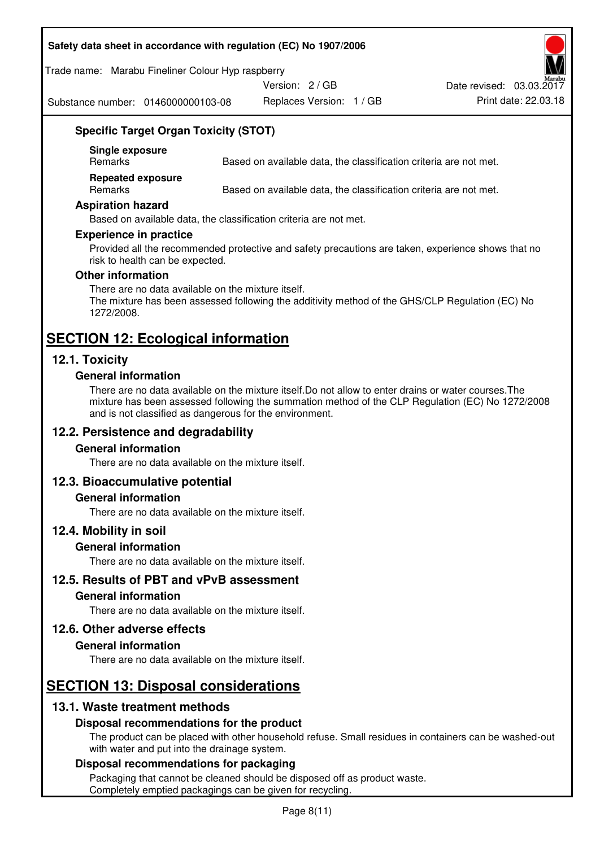#### **Safety data sheet in accordance with regulation (EC) No 1907/2006**

Trade name: Marabu Fineliner Colour Hyp raspberry

Version: 2 / GB

Substance number: 0146000000103-08

Replaces Version: 1 / GB Print date: 22.03.18 Date revised: 03.03.2017

# **Specific Target Organ Toxicity (STOT)**

**Single exposure** 

Based on available data, the classification criteria are not met.

**Repeated exposure** 

Remarks Based on available data, the classification criteria are not met.

#### **Aspiration hazard**

Based on available data, the classification criteria are not met.

#### **Experience in practice**

Provided all the recommended protective and safety precautions are taken, experience shows that no risk to health can be expected.

#### **Other information**

There are no data available on the mixture itself. The mixture has been assessed following the additivity method of the GHS/CLP Regulation (EC) No 1272/2008.

# **SECTION 12: Ecological information**

# **12.1. Toxicity**

#### **General information**

There are no data available on the mixture itself.Do not allow to enter drains or water courses.The mixture has been assessed following the summation method of the CLP Regulation (EC) No 1272/2008 and is not classified as dangerous for the environment.

# **12.2. Persistence and degradability**

#### **General information**

There are no data available on the mixture itself.

# **12.3. Bioaccumulative potential**

#### **General information**

There are no data available on the mixture itself.

#### **12.4. Mobility in soil**

#### **General information**

There are no data available on the mixture itself.

**12.5. Results of PBT and vPvB assessment** 

#### **General information**

There are no data available on the mixture itself.

#### **12.6. Other adverse effects**

#### **General information**

There are no data available on the mixture itself.

# **SECTION 13: Disposal considerations**

# **13.1. Waste treatment methods**

# **Disposal recommendations for the product**

The product can be placed with other household refuse. Small residues in containers can be washed-out with water and put into the drainage system.

#### **Disposal recommendations for packaging**

Packaging that cannot be cleaned should be disposed off as product waste. Completely emptied packagings can be given for recycling.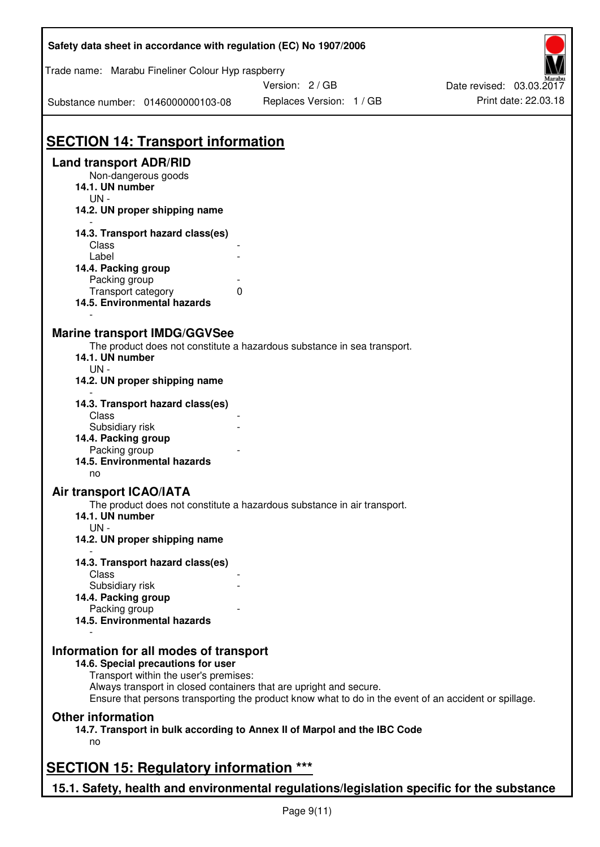| Safety data sheet in accordance with regulation (EC) No 1907/2006                         |                                                                                                       |                          |
|-------------------------------------------------------------------------------------------|-------------------------------------------------------------------------------------------------------|--------------------------|
| Trade name: Marabu Fineliner Colour Hyp raspberry                                         |                                                                                                       |                          |
|                                                                                           | Version: 2 / GB                                                                                       | Date revised: 03.03.2017 |
| Substance number: 0146000000103-08                                                        | Replaces Version: 1 / GB                                                                              | Print date: 22.03.18     |
| <b>SECTION 14: Transport information</b>                                                  |                                                                                                       |                          |
| <b>Land transport ADR/RID</b>                                                             |                                                                                                       |                          |
| Non-dangerous goods                                                                       |                                                                                                       |                          |
| 14.1. UN number<br>$UN -$                                                                 |                                                                                                       |                          |
| 14.2. UN proper shipping name                                                             |                                                                                                       |                          |
| 14.3. Transport hazard class(es)                                                          |                                                                                                       |                          |
| Class                                                                                     |                                                                                                       |                          |
| Label                                                                                     |                                                                                                       |                          |
| 14.4. Packing group                                                                       |                                                                                                       |                          |
| Packing group                                                                             |                                                                                                       |                          |
| Transport category<br>14.5. Environmental hazards                                         | 0                                                                                                     |                          |
|                                                                                           |                                                                                                       |                          |
| <b>Marine transport IMDG/GGVSee</b>                                                       |                                                                                                       |                          |
|                                                                                           | The product does not constitute a hazardous substance in sea transport.                               |                          |
| 14.1. UN number                                                                           |                                                                                                       |                          |
| $UN -$<br>14.2. UN proper shipping name                                                   |                                                                                                       |                          |
| 14.3. Transport hazard class(es)                                                          |                                                                                                       |                          |
| Class                                                                                     |                                                                                                       |                          |
| Subsidiary risk                                                                           |                                                                                                       |                          |
| 14.4. Packing group                                                                       |                                                                                                       |                          |
| Packing group                                                                             |                                                                                                       |                          |
| 14.5. Environmental hazards<br>no                                                         |                                                                                                       |                          |
| <b>Air transport ICAO/IATA</b>                                                            |                                                                                                       |                          |
|                                                                                           | The product does not constitute a hazardous substance in air transport.                               |                          |
| 14.1. UN number<br>$UN -$                                                                 |                                                                                                       |                          |
| 14.2. UN proper shipping name                                                             |                                                                                                       |                          |
| 14.3. Transport hazard class(es)<br>Class                                                 |                                                                                                       |                          |
| Subsidiary risk                                                                           |                                                                                                       |                          |
| 14.4. Packing group                                                                       |                                                                                                       |                          |
| Packing group                                                                             |                                                                                                       |                          |
| 14.5. Environmental hazards                                                               |                                                                                                       |                          |
| Information for all modes of transport                                                    |                                                                                                       |                          |
| 14.6. Special precautions for user<br>Transport within the user's premises:               |                                                                                                       |                          |
|                                                                                           | Always transport in closed containers that are upright and secure.                                    |                          |
|                                                                                           | Ensure that persons transporting the product know what to do in the event of an accident or spillage. |                          |
| <b>Other information</b>                                                                  |                                                                                                       |                          |
| no                                                                                        | 14.7. Transport in bulk according to Annex II of Marpol and the IBC Code                              |                          |
|                                                                                           |                                                                                                       |                          |
| <b>SECTION 15: Regulatory information ***</b>                                             |                                                                                                       |                          |
| 15.1. Safety, health and environmental regulations/legislation specific for the substance |                                                                                                       |                          |

ī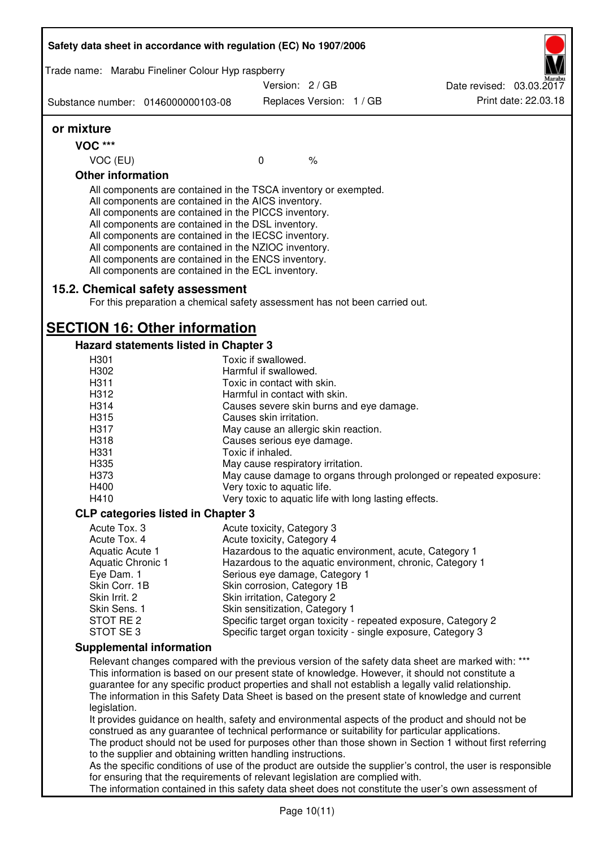| Version: 2/GB<br>Replaces Version: 1 / GB<br>Substance number: 0146000000103-08<br>or mixture<br><b>VOC ***</b><br>VOC (EU)<br>$\mathbf 0$<br>$\frac{1}{6}$<br><b>Other information</b><br>All components are contained in the TSCA inventory or exempted.<br>All components are contained in the AICS inventory.<br>All components are contained in the PICCS inventory.<br>All components are contained in the DSL inventory.<br>All components are contained in the IECSC inventory.<br>All components are contained in the NZIOC inventory.<br>All components are contained in the ENCS inventory.<br>All components are contained in the ECL inventory.<br>15.2. Chemical safety assessment<br>For this preparation a chemical safety assessment has not been carried out.<br><b>SECTION 16: Other information</b><br>Hazard statements listed in Chapter 3<br>Toxic if swallowed.<br>H301<br>Harmful if swallowed.<br>H302<br>H311<br>Toxic in contact with skin.<br>H312<br>Harmful in contact with skin.<br>H314<br>Causes severe skin burns and eye damage.<br>H315<br>Causes skin irritation.<br>H317<br>May cause an allergic skin reaction.<br>H318<br>Causes serious eye damage.<br>H331<br>Toxic if inhaled.<br>H335<br>May cause respiratory irritation.<br>H373<br>May cause damage to organs through prolonged or repeated exposure:<br>H400<br>Very toxic to aquatic life.<br>H410<br>Very toxic to aquatic life with long lasting effects.<br><b>CLP categories listed in Chapter 3</b><br>Acute Tox. 3<br>Acute toxicity, Category 3<br>Acute Tox. 4<br>Acute toxicity, Category 4<br>Aquatic Acute 1<br>Hazardous to the aquatic environment, acute, Category 1<br>Hazardous to the aquatic environment, chronic, Category 1<br><b>Aquatic Chronic 1</b><br>Eye Dam. 1<br>Serious eye damage, Category 1<br>Skin Corr. 1B<br>Skin corrosion, Category 1B<br>Skin Irrit. 2<br>Skin irritation, Category 2<br>Skin Sens. 1<br>Skin sensitization, Category 1<br>STOT RE 2<br>Specific target organ toxicity - repeated exposure, Category 2<br>STOT SE 3<br>Specific target organ toxicity - single exposure, Category 3<br><b>Supplemental information</b><br>Relevant changes compared with the previous version of the safety data sheet are marked with: ***<br>This information is based on our present state of knowledge. However, it should not constitute a<br>guarantee for any specific product properties and shall not establish a legally valid relationship.<br>The information in this Safety Data Sheet is based on the present state of knowledge and current<br>legislation.<br>It provides guidance on health, safety and environmental aspects of the product and should not be<br>construed as any guarantee of technical performance or suitability for particular applications.<br>The product should not be used for purposes other than those shown in Section 1 without first referring<br>to the supplier and obtaining written handling instructions.<br>As the specific conditions of use of the product are outside the supplier's control, the user is responsible<br>for ensuring that the requirements of relevant legislation are complied with. | Trade name: Marabu Fineliner Colour Hyp raspberry |  |                          |
|--------------------------------------------------------------------------------------------------------------------------------------------------------------------------------------------------------------------------------------------------------------------------------------------------------------------------------------------------------------------------------------------------------------------------------------------------------------------------------------------------------------------------------------------------------------------------------------------------------------------------------------------------------------------------------------------------------------------------------------------------------------------------------------------------------------------------------------------------------------------------------------------------------------------------------------------------------------------------------------------------------------------------------------------------------------------------------------------------------------------------------------------------------------------------------------------------------------------------------------------------------------------------------------------------------------------------------------------------------------------------------------------------------------------------------------------------------------------------------------------------------------------------------------------------------------------------------------------------------------------------------------------------------------------------------------------------------------------------------------------------------------------------------------------------------------------------------------------------------------------------------------------------------------------------------------------------------------------------------------------------------------------------------------------------------------------------------------------------------------------------------------------------------------------------------------------------------------------------------------------------------------------------------------------------------------------------------------------------------------------------------------------------------------------------------------------------------------------------------------------------------------------------------------------------------------------------------------------------------------------------------------------------------------------------------------------------------------------------------------------------------------------------------------------------------------------------------------------------------------------------------------------------------------------------------------------------------------------------------------------------------------------------------------------------------------------------------------------------------------------------------------------------------------------------------------------------------|---------------------------------------------------|--|--------------------------|
|                                                                                                                                                                                                                                                                                                                                                                                                                                                                                                                                                                                                                                                                                                                                                                                                                                                                                                                                                                                                                                                                                                                                                                                                                                                                                                                                                                                                                                                                                                                                                                                                                                                                                                                                                                                                                                                                                                                                                                                                                                                                                                                                                                                                                                                                                                                                                                                                                                                                                                                                                                                                                                                                                                                                                                                                                                                                                                                                                                                                                                                                                                                                                                                                        |                                                   |  | Date revised: 03.03.2017 |
|                                                                                                                                                                                                                                                                                                                                                                                                                                                                                                                                                                                                                                                                                                                                                                                                                                                                                                                                                                                                                                                                                                                                                                                                                                                                                                                                                                                                                                                                                                                                                                                                                                                                                                                                                                                                                                                                                                                                                                                                                                                                                                                                                                                                                                                                                                                                                                                                                                                                                                                                                                                                                                                                                                                                                                                                                                                                                                                                                                                                                                                                                                                                                                                                        |                                                   |  | Print date: 22.03.18     |
|                                                                                                                                                                                                                                                                                                                                                                                                                                                                                                                                                                                                                                                                                                                                                                                                                                                                                                                                                                                                                                                                                                                                                                                                                                                                                                                                                                                                                                                                                                                                                                                                                                                                                                                                                                                                                                                                                                                                                                                                                                                                                                                                                                                                                                                                                                                                                                                                                                                                                                                                                                                                                                                                                                                                                                                                                                                                                                                                                                                                                                                                                                                                                                                                        |                                                   |  |                          |
|                                                                                                                                                                                                                                                                                                                                                                                                                                                                                                                                                                                                                                                                                                                                                                                                                                                                                                                                                                                                                                                                                                                                                                                                                                                                                                                                                                                                                                                                                                                                                                                                                                                                                                                                                                                                                                                                                                                                                                                                                                                                                                                                                                                                                                                                                                                                                                                                                                                                                                                                                                                                                                                                                                                                                                                                                                                                                                                                                                                                                                                                                                                                                                                                        |                                                   |  |                          |
|                                                                                                                                                                                                                                                                                                                                                                                                                                                                                                                                                                                                                                                                                                                                                                                                                                                                                                                                                                                                                                                                                                                                                                                                                                                                                                                                                                                                                                                                                                                                                                                                                                                                                                                                                                                                                                                                                                                                                                                                                                                                                                                                                                                                                                                                                                                                                                                                                                                                                                                                                                                                                                                                                                                                                                                                                                                                                                                                                                                                                                                                                                                                                                                                        |                                                   |  |                          |
|                                                                                                                                                                                                                                                                                                                                                                                                                                                                                                                                                                                                                                                                                                                                                                                                                                                                                                                                                                                                                                                                                                                                                                                                                                                                                                                                                                                                                                                                                                                                                                                                                                                                                                                                                                                                                                                                                                                                                                                                                                                                                                                                                                                                                                                                                                                                                                                                                                                                                                                                                                                                                                                                                                                                                                                                                                                                                                                                                                                                                                                                                                                                                                                                        |                                                   |  |                          |
|                                                                                                                                                                                                                                                                                                                                                                                                                                                                                                                                                                                                                                                                                                                                                                                                                                                                                                                                                                                                                                                                                                                                                                                                                                                                                                                                                                                                                                                                                                                                                                                                                                                                                                                                                                                                                                                                                                                                                                                                                                                                                                                                                                                                                                                                                                                                                                                                                                                                                                                                                                                                                                                                                                                                                                                                                                                                                                                                                                                                                                                                                                                                                                                                        |                                                   |  |                          |
|                                                                                                                                                                                                                                                                                                                                                                                                                                                                                                                                                                                                                                                                                                                                                                                                                                                                                                                                                                                                                                                                                                                                                                                                                                                                                                                                                                                                                                                                                                                                                                                                                                                                                                                                                                                                                                                                                                                                                                                                                                                                                                                                                                                                                                                                                                                                                                                                                                                                                                                                                                                                                                                                                                                                                                                                                                                                                                                                                                                                                                                                                                                                                                                                        |                                                   |  |                          |
|                                                                                                                                                                                                                                                                                                                                                                                                                                                                                                                                                                                                                                                                                                                                                                                                                                                                                                                                                                                                                                                                                                                                                                                                                                                                                                                                                                                                                                                                                                                                                                                                                                                                                                                                                                                                                                                                                                                                                                                                                                                                                                                                                                                                                                                                                                                                                                                                                                                                                                                                                                                                                                                                                                                                                                                                                                                                                                                                                                                                                                                                                                                                                                                                        |                                                   |  |                          |
|                                                                                                                                                                                                                                                                                                                                                                                                                                                                                                                                                                                                                                                                                                                                                                                                                                                                                                                                                                                                                                                                                                                                                                                                                                                                                                                                                                                                                                                                                                                                                                                                                                                                                                                                                                                                                                                                                                                                                                                                                                                                                                                                                                                                                                                                                                                                                                                                                                                                                                                                                                                                                                                                                                                                                                                                                                                                                                                                                                                                                                                                                                                                                                                                        |                                                   |  |                          |
|                                                                                                                                                                                                                                                                                                                                                                                                                                                                                                                                                                                                                                                                                                                                                                                                                                                                                                                                                                                                                                                                                                                                                                                                                                                                                                                                                                                                                                                                                                                                                                                                                                                                                                                                                                                                                                                                                                                                                                                                                                                                                                                                                                                                                                                                                                                                                                                                                                                                                                                                                                                                                                                                                                                                                                                                                                                                                                                                                                                                                                                                                                                                                                                                        |                                                   |  |                          |
|                                                                                                                                                                                                                                                                                                                                                                                                                                                                                                                                                                                                                                                                                                                                                                                                                                                                                                                                                                                                                                                                                                                                                                                                                                                                                                                                                                                                                                                                                                                                                                                                                                                                                                                                                                                                                                                                                                                                                                                                                                                                                                                                                                                                                                                                                                                                                                                                                                                                                                                                                                                                                                                                                                                                                                                                                                                                                                                                                                                                                                                                                                                                                                                                        |                                                   |  |                          |
|                                                                                                                                                                                                                                                                                                                                                                                                                                                                                                                                                                                                                                                                                                                                                                                                                                                                                                                                                                                                                                                                                                                                                                                                                                                                                                                                                                                                                                                                                                                                                                                                                                                                                                                                                                                                                                                                                                                                                                                                                                                                                                                                                                                                                                                                                                                                                                                                                                                                                                                                                                                                                                                                                                                                                                                                                                                                                                                                                                                                                                                                                                                                                                                                        |                                                   |  |                          |
|                                                                                                                                                                                                                                                                                                                                                                                                                                                                                                                                                                                                                                                                                                                                                                                                                                                                                                                                                                                                                                                                                                                                                                                                                                                                                                                                                                                                                                                                                                                                                                                                                                                                                                                                                                                                                                                                                                                                                                                                                                                                                                                                                                                                                                                                                                                                                                                                                                                                                                                                                                                                                                                                                                                                                                                                                                                                                                                                                                                                                                                                                                                                                                                                        |                                                   |  |                          |
|                                                                                                                                                                                                                                                                                                                                                                                                                                                                                                                                                                                                                                                                                                                                                                                                                                                                                                                                                                                                                                                                                                                                                                                                                                                                                                                                                                                                                                                                                                                                                                                                                                                                                                                                                                                                                                                                                                                                                                                                                                                                                                                                                                                                                                                                                                                                                                                                                                                                                                                                                                                                                                                                                                                                                                                                                                                                                                                                                                                                                                                                                                                                                                                                        |                                                   |  |                          |
|                                                                                                                                                                                                                                                                                                                                                                                                                                                                                                                                                                                                                                                                                                                                                                                                                                                                                                                                                                                                                                                                                                                                                                                                                                                                                                                                                                                                                                                                                                                                                                                                                                                                                                                                                                                                                                                                                                                                                                                                                                                                                                                                                                                                                                                                                                                                                                                                                                                                                                                                                                                                                                                                                                                                                                                                                                                                                                                                                                                                                                                                                                                                                                                                        |                                                   |  |                          |
|                                                                                                                                                                                                                                                                                                                                                                                                                                                                                                                                                                                                                                                                                                                                                                                                                                                                                                                                                                                                                                                                                                                                                                                                                                                                                                                                                                                                                                                                                                                                                                                                                                                                                                                                                                                                                                                                                                                                                                                                                                                                                                                                                                                                                                                                                                                                                                                                                                                                                                                                                                                                                                                                                                                                                                                                                                                                                                                                                                                                                                                                                                                                                                                                        |                                                   |  |                          |
|                                                                                                                                                                                                                                                                                                                                                                                                                                                                                                                                                                                                                                                                                                                                                                                                                                                                                                                                                                                                                                                                                                                                                                                                                                                                                                                                                                                                                                                                                                                                                                                                                                                                                                                                                                                                                                                                                                                                                                                                                                                                                                                                                                                                                                                                                                                                                                                                                                                                                                                                                                                                                                                                                                                                                                                                                                                                                                                                                                                                                                                                                                                                                                                                        |                                                   |  |                          |
|                                                                                                                                                                                                                                                                                                                                                                                                                                                                                                                                                                                                                                                                                                                                                                                                                                                                                                                                                                                                                                                                                                                                                                                                                                                                                                                                                                                                                                                                                                                                                                                                                                                                                                                                                                                                                                                                                                                                                                                                                                                                                                                                                                                                                                                                                                                                                                                                                                                                                                                                                                                                                                                                                                                                                                                                                                                                                                                                                                                                                                                                                                                                                                                                        |                                                   |  |                          |
|                                                                                                                                                                                                                                                                                                                                                                                                                                                                                                                                                                                                                                                                                                                                                                                                                                                                                                                                                                                                                                                                                                                                                                                                                                                                                                                                                                                                                                                                                                                                                                                                                                                                                                                                                                                                                                                                                                                                                                                                                                                                                                                                                                                                                                                                                                                                                                                                                                                                                                                                                                                                                                                                                                                                                                                                                                                                                                                                                                                                                                                                                                                                                                                                        |                                                   |  |                          |
|                                                                                                                                                                                                                                                                                                                                                                                                                                                                                                                                                                                                                                                                                                                                                                                                                                                                                                                                                                                                                                                                                                                                                                                                                                                                                                                                                                                                                                                                                                                                                                                                                                                                                                                                                                                                                                                                                                                                                                                                                                                                                                                                                                                                                                                                                                                                                                                                                                                                                                                                                                                                                                                                                                                                                                                                                                                                                                                                                                                                                                                                                                                                                                                                        |                                                   |  |                          |
|                                                                                                                                                                                                                                                                                                                                                                                                                                                                                                                                                                                                                                                                                                                                                                                                                                                                                                                                                                                                                                                                                                                                                                                                                                                                                                                                                                                                                                                                                                                                                                                                                                                                                                                                                                                                                                                                                                                                                                                                                                                                                                                                                                                                                                                                                                                                                                                                                                                                                                                                                                                                                                                                                                                                                                                                                                                                                                                                                                                                                                                                                                                                                                                                        |                                                   |  |                          |
|                                                                                                                                                                                                                                                                                                                                                                                                                                                                                                                                                                                                                                                                                                                                                                                                                                                                                                                                                                                                                                                                                                                                                                                                                                                                                                                                                                                                                                                                                                                                                                                                                                                                                                                                                                                                                                                                                                                                                                                                                                                                                                                                                                                                                                                                                                                                                                                                                                                                                                                                                                                                                                                                                                                                                                                                                                                                                                                                                                                                                                                                                                                                                                                                        |                                                   |  |                          |
|                                                                                                                                                                                                                                                                                                                                                                                                                                                                                                                                                                                                                                                                                                                                                                                                                                                                                                                                                                                                                                                                                                                                                                                                                                                                                                                                                                                                                                                                                                                                                                                                                                                                                                                                                                                                                                                                                                                                                                                                                                                                                                                                                                                                                                                                                                                                                                                                                                                                                                                                                                                                                                                                                                                                                                                                                                                                                                                                                                                                                                                                                                                                                                                                        |                                                   |  |                          |
|                                                                                                                                                                                                                                                                                                                                                                                                                                                                                                                                                                                                                                                                                                                                                                                                                                                                                                                                                                                                                                                                                                                                                                                                                                                                                                                                                                                                                                                                                                                                                                                                                                                                                                                                                                                                                                                                                                                                                                                                                                                                                                                                                                                                                                                                                                                                                                                                                                                                                                                                                                                                                                                                                                                                                                                                                                                                                                                                                                                                                                                                                                                                                                                                        |                                                   |  |                          |
|                                                                                                                                                                                                                                                                                                                                                                                                                                                                                                                                                                                                                                                                                                                                                                                                                                                                                                                                                                                                                                                                                                                                                                                                                                                                                                                                                                                                                                                                                                                                                                                                                                                                                                                                                                                                                                                                                                                                                                                                                                                                                                                                                                                                                                                                                                                                                                                                                                                                                                                                                                                                                                                                                                                                                                                                                                                                                                                                                                                                                                                                                                                                                                                                        |                                                   |  |                          |
|                                                                                                                                                                                                                                                                                                                                                                                                                                                                                                                                                                                                                                                                                                                                                                                                                                                                                                                                                                                                                                                                                                                                                                                                                                                                                                                                                                                                                                                                                                                                                                                                                                                                                                                                                                                                                                                                                                                                                                                                                                                                                                                                                                                                                                                                                                                                                                                                                                                                                                                                                                                                                                                                                                                                                                                                                                                                                                                                                                                                                                                                                                                                                                                                        |                                                   |  |                          |
|                                                                                                                                                                                                                                                                                                                                                                                                                                                                                                                                                                                                                                                                                                                                                                                                                                                                                                                                                                                                                                                                                                                                                                                                                                                                                                                                                                                                                                                                                                                                                                                                                                                                                                                                                                                                                                                                                                                                                                                                                                                                                                                                                                                                                                                                                                                                                                                                                                                                                                                                                                                                                                                                                                                                                                                                                                                                                                                                                                                                                                                                                                                                                                                                        |                                                   |  |                          |
|                                                                                                                                                                                                                                                                                                                                                                                                                                                                                                                                                                                                                                                                                                                                                                                                                                                                                                                                                                                                                                                                                                                                                                                                                                                                                                                                                                                                                                                                                                                                                                                                                                                                                                                                                                                                                                                                                                                                                                                                                                                                                                                                                                                                                                                                                                                                                                                                                                                                                                                                                                                                                                                                                                                                                                                                                                                                                                                                                                                                                                                                                                                                                                                                        |                                                   |  |                          |
|                                                                                                                                                                                                                                                                                                                                                                                                                                                                                                                                                                                                                                                                                                                                                                                                                                                                                                                                                                                                                                                                                                                                                                                                                                                                                                                                                                                                                                                                                                                                                                                                                                                                                                                                                                                                                                                                                                                                                                                                                                                                                                                                                                                                                                                                                                                                                                                                                                                                                                                                                                                                                                                                                                                                                                                                                                                                                                                                                                                                                                                                                                                                                                                                        |                                                   |  |                          |
|                                                                                                                                                                                                                                                                                                                                                                                                                                                                                                                                                                                                                                                                                                                                                                                                                                                                                                                                                                                                                                                                                                                                                                                                                                                                                                                                                                                                                                                                                                                                                                                                                                                                                                                                                                                                                                                                                                                                                                                                                                                                                                                                                                                                                                                                                                                                                                                                                                                                                                                                                                                                                                                                                                                                                                                                                                                                                                                                                                                                                                                                                                                                                                                                        |                                                   |  |                          |
|                                                                                                                                                                                                                                                                                                                                                                                                                                                                                                                                                                                                                                                                                                                                                                                                                                                                                                                                                                                                                                                                                                                                                                                                                                                                                                                                                                                                                                                                                                                                                                                                                                                                                                                                                                                                                                                                                                                                                                                                                                                                                                                                                                                                                                                                                                                                                                                                                                                                                                                                                                                                                                                                                                                                                                                                                                                                                                                                                                                                                                                                                                                                                                                                        |                                                   |  |                          |
|                                                                                                                                                                                                                                                                                                                                                                                                                                                                                                                                                                                                                                                                                                                                                                                                                                                                                                                                                                                                                                                                                                                                                                                                                                                                                                                                                                                                                                                                                                                                                                                                                                                                                                                                                                                                                                                                                                                                                                                                                                                                                                                                                                                                                                                                                                                                                                                                                                                                                                                                                                                                                                                                                                                                                                                                                                                                                                                                                                                                                                                                                                                                                                                                        |                                                   |  |                          |
|                                                                                                                                                                                                                                                                                                                                                                                                                                                                                                                                                                                                                                                                                                                                                                                                                                                                                                                                                                                                                                                                                                                                                                                                                                                                                                                                                                                                                                                                                                                                                                                                                                                                                                                                                                                                                                                                                                                                                                                                                                                                                                                                                                                                                                                                                                                                                                                                                                                                                                                                                                                                                                                                                                                                                                                                                                                                                                                                                                                                                                                                                                                                                                                                        |                                                   |  |                          |
|                                                                                                                                                                                                                                                                                                                                                                                                                                                                                                                                                                                                                                                                                                                                                                                                                                                                                                                                                                                                                                                                                                                                                                                                                                                                                                                                                                                                                                                                                                                                                                                                                                                                                                                                                                                                                                                                                                                                                                                                                                                                                                                                                                                                                                                                                                                                                                                                                                                                                                                                                                                                                                                                                                                                                                                                                                                                                                                                                                                                                                                                                                                                                                                                        |                                                   |  |                          |
|                                                                                                                                                                                                                                                                                                                                                                                                                                                                                                                                                                                                                                                                                                                                                                                                                                                                                                                                                                                                                                                                                                                                                                                                                                                                                                                                                                                                                                                                                                                                                                                                                                                                                                                                                                                                                                                                                                                                                                                                                                                                                                                                                                                                                                                                                                                                                                                                                                                                                                                                                                                                                                                                                                                                                                                                                                                                                                                                                                                                                                                                                                                                                                                                        |                                                   |  |                          |
|                                                                                                                                                                                                                                                                                                                                                                                                                                                                                                                                                                                                                                                                                                                                                                                                                                                                                                                                                                                                                                                                                                                                                                                                                                                                                                                                                                                                                                                                                                                                                                                                                                                                                                                                                                                                                                                                                                                                                                                                                                                                                                                                                                                                                                                                                                                                                                                                                                                                                                                                                                                                                                                                                                                                                                                                                                                                                                                                                                                                                                                                                                                                                                                                        |                                                   |  |                          |
|                                                                                                                                                                                                                                                                                                                                                                                                                                                                                                                                                                                                                                                                                                                                                                                                                                                                                                                                                                                                                                                                                                                                                                                                                                                                                                                                                                                                                                                                                                                                                                                                                                                                                                                                                                                                                                                                                                                                                                                                                                                                                                                                                                                                                                                                                                                                                                                                                                                                                                                                                                                                                                                                                                                                                                                                                                                                                                                                                                                                                                                                                                                                                                                                        |                                                   |  |                          |
|                                                                                                                                                                                                                                                                                                                                                                                                                                                                                                                                                                                                                                                                                                                                                                                                                                                                                                                                                                                                                                                                                                                                                                                                                                                                                                                                                                                                                                                                                                                                                                                                                                                                                                                                                                                                                                                                                                                                                                                                                                                                                                                                                                                                                                                                                                                                                                                                                                                                                                                                                                                                                                                                                                                                                                                                                                                                                                                                                                                                                                                                                                                                                                                                        |                                                   |  |                          |
|                                                                                                                                                                                                                                                                                                                                                                                                                                                                                                                                                                                                                                                                                                                                                                                                                                                                                                                                                                                                                                                                                                                                                                                                                                                                                                                                                                                                                                                                                                                                                                                                                                                                                                                                                                                                                                                                                                                                                                                                                                                                                                                                                                                                                                                                                                                                                                                                                                                                                                                                                                                                                                                                                                                                                                                                                                                                                                                                                                                                                                                                                                                                                                                                        |                                                   |  |                          |
|                                                                                                                                                                                                                                                                                                                                                                                                                                                                                                                                                                                                                                                                                                                                                                                                                                                                                                                                                                                                                                                                                                                                                                                                                                                                                                                                                                                                                                                                                                                                                                                                                                                                                                                                                                                                                                                                                                                                                                                                                                                                                                                                                                                                                                                                                                                                                                                                                                                                                                                                                                                                                                                                                                                                                                                                                                                                                                                                                                                                                                                                                                                                                                                                        |                                                   |  |                          |
|                                                                                                                                                                                                                                                                                                                                                                                                                                                                                                                                                                                                                                                                                                                                                                                                                                                                                                                                                                                                                                                                                                                                                                                                                                                                                                                                                                                                                                                                                                                                                                                                                                                                                                                                                                                                                                                                                                                                                                                                                                                                                                                                                                                                                                                                                                                                                                                                                                                                                                                                                                                                                                                                                                                                                                                                                                                                                                                                                                                                                                                                                                                                                                                                        |                                                   |  |                          |
|                                                                                                                                                                                                                                                                                                                                                                                                                                                                                                                                                                                                                                                                                                                                                                                                                                                                                                                                                                                                                                                                                                                                                                                                                                                                                                                                                                                                                                                                                                                                                                                                                                                                                                                                                                                                                                                                                                                                                                                                                                                                                                                                                                                                                                                                                                                                                                                                                                                                                                                                                                                                                                                                                                                                                                                                                                                                                                                                                                                                                                                                                                                                                                                                        |                                                   |  |                          |
|                                                                                                                                                                                                                                                                                                                                                                                                                                                                                                                                                                                                                                                                                                                                                                                                                                                                                                                                                                                                                                                                                                                                                                                                                                                                                                                                                                                                                                                                                                                                                                                                                                                                                                                                                                                                                                                                                                                                                                                                                                                                                                                                                                                                                                                                                                                                                                                                                                                                                                                                                                                                                                                                                                                                                                                                                                                                                                                                                                                                                                                                                                                                                                                                        |                                                   |  |                          |
| The information contained in this safety data sheet does not constitute the user's own assessment of                                                                                                                                                                                                                                                                                                                                                                                                                                                                                                                                                                                                                                                                                                                                                                                                                                                                                                                                                                                                                                                                                                                                                                                                                                                                                                                                                                                                                                                                                                                                                                                                                                                                                                                                                                                                                                                                                                                                                                                                                                                                                                                                                                                                                                                                                                                                                                                                                                                                                                                                                                                                                                                                                                                                                                                                                                                                                                                                                                                                                                                                                                   |                                                   |  |                          |